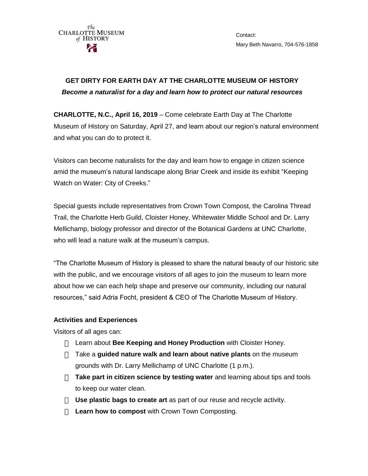

Contact: Mary Beth Navarro, 704-576-1858

## **GET DIRTY FOR EARTH DAY AT THE CHARLOTTE MUSEUM OF HISTORY** *Become a naturalist for a day and learn how to protect our natural resources*

**CHARLOTTE, N.C., April 16, 2019** – Come celebrate Earth Day at The Charlotte Museum of History on Saturday, April 27, and learn about our region's natural environment and what you can do to protect it.

Visitors can become naturalists for the day and learn how to engage in citizen science amid the museum's natural landscape along Briar Creek and inside its exhibit "Keeping Watch on Water: City of Creeks."

Special guests include representatives from Crown Town Compost, the Carolina Thread Trail, the Charlotte Herb Guild, Cloister Honey, Whitewater Middle School and Dr. Larry Mellichamp, biology professor and director of the Botanical Gardens at UNC Charlotte, who will lead a nature walk at the museum's campus.

"The Charlotte Museum of History is pleased to share the natural beauty of our historic site with the public, and we encourage visitors of all ages to join the museum to learn more about how we can each help shape and preserve our community, including our natural resources," said Adria Focht, president & CEO of The Charlotte Museum of History.

## **Activities and Experiences**

Visitors of all ages can:

- Learn about **Bee Keeping and Honey Production** with Cloister Honey.
- Take a **guided nature walk and learn about native plants** on the museum grounds with Dr. Larry Mellichamp of UNC Charlotte (1 p.m.).
- **Take part in citizen science by testing water** and learning about tips and tools to keep our water clean.
- **Use plastic bags to create art** as part of our reuse and recycle activity.
- **Learn how to compost** with Crown Town Composting.